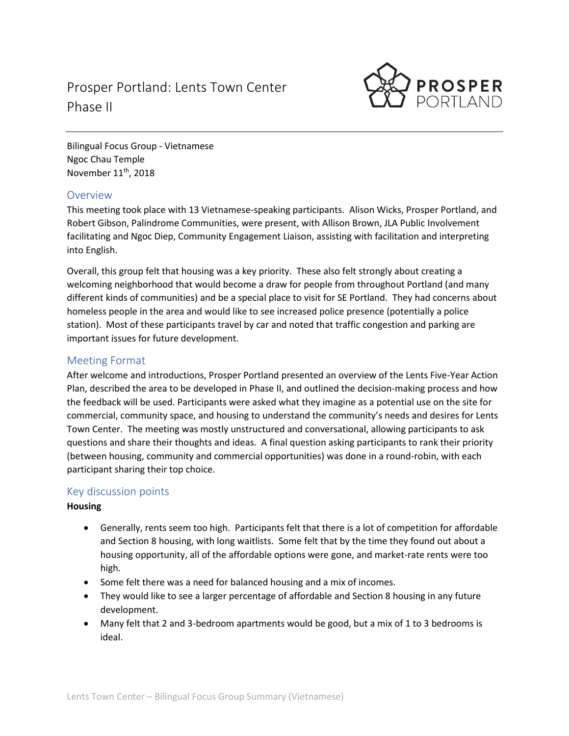# Prosper Portland: Lents Town Center Phase II



Bilingual Focus Group - Vietnamese Ngoc Chau Temple November 11<sup>th</sup>, 2018

## Overview

This meeting took place with 13 Vietnamese-speaking participants. Alison Wicks, Prosper Portland, and Robert Gibson, Palindrome Communities, were present, with Allison Brown, JLA Public Involvement facilitating and Ngoc Diep, Community Engagement Liaison, assisting with facilitation and interpreting into English.

Overall, this group felt that housing was a key priority. These also felt strongly about creating a welcoming neighborhood that would become a draw for people from throughout Portland (and many different kinds of communities) and be a special place to visit for SE Portland. They had concerns about homeless people in the area and would like to see increased police presence (potentially a police station). Most of these participants travel by car and noted that traffic congestion and parking are important issues for future development.

## Meeting Format

After welcome and introductions, Prosper Portland presented an overview of the Lents Five-Year Action Plan, described the area to be developed in Phase II, and outlined the decision-making process and how the feedback will be used. Participants were asked what they imagine as a potential use on the site for commercial, community space, and housing to understand the community's needs and desires for Lents Town Center. The meeting was mostly unstructured and conversational, allowing participants to ask questions and share their thoughts and ideas. A final question asking participants to rank their priority (between housing, community and commercial opportunities) was done in a round-robin, with each participant sharing their top choice.

## Key discussion points

#### **Housing**

- Generally, rents seem too high. Participants felt that there is a lot of competition for affordable and Section 8 housing, with long waitlists. Some felt that by the time they found out about a housing opportunity, all of the affordable options were gone, and market-rate rents were too high.
- Some felt there was a need for balanced housing and a mix of incomes.
- They would like to see a larger percentage of affordable and Section 8 housing in any future development.
- Many felt that 2 and 3-bedroom apartments would be good, but a mix of 1 to 3 bedrooms is ideal.